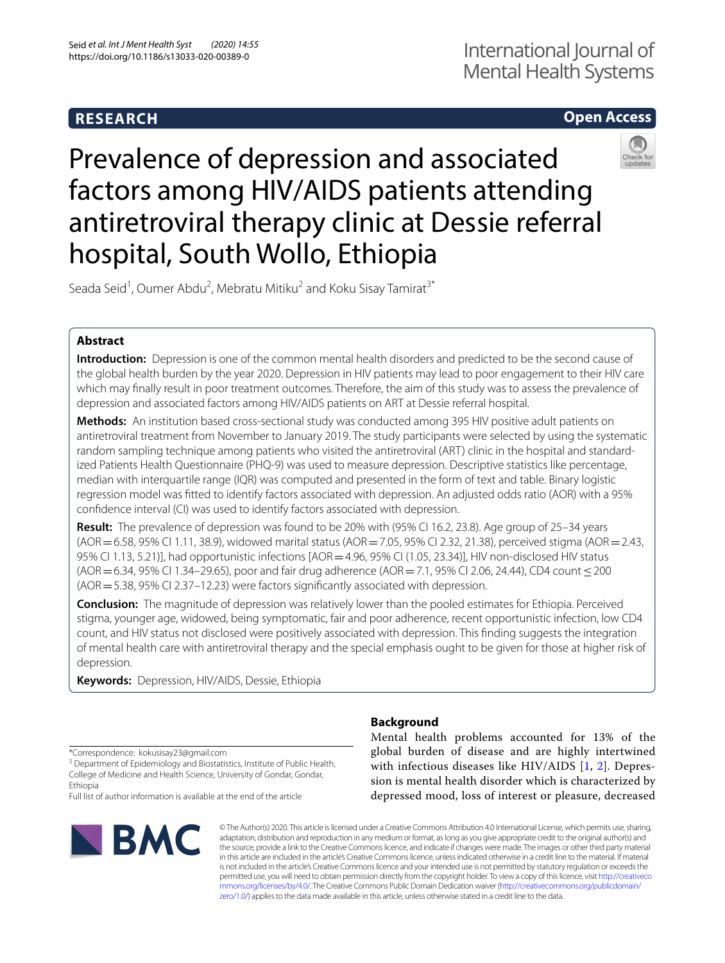## **RESEARCH**

# International Journal of Mental Health Systems

## **Open Access**



Prevalence of depression and associated factors among HIV/AIDS patients attending antiretroviral therapy clinic at Dessie referral hospital, South Wollo, Ethiopia

Seada Seid<sup>1</sup>, Oumer Abdu<sup>2</sup>, Mebratu Mitiku<sup>2</sup> and Koku Sisay Tamirat<sup>3\*</sup>

## **Abstract**

**Introduction:** Depression is one of the common mental health disorders and predicted to be the second cause of the global health burden by the year 2020. Depression in HIV patients may lead to poor engagement to their HIV care which may fnally result in poor treatment outcomes. Therefore, the aim of this study was to assess the prevalence of depression and associated factors among HIV/AIDS patients on ART at Dessie referral hospital.

**Methods:** An institution based cross-sectional study was conducted among 395 HIV positive adult patients on antiretroviral treatment from November to January 2019. The study participants were selected by using the systematic random sampling technique among patients who visited the antiretroviral (ART) clinic in the hospital and standardized Patients Health Questionnaire (PHQ-9) was used to measure depression. Descriptive statistics like percentage, median with interquartile range (IQR) was computed and presented in the form of text and table. Binary logistic regression model was ftted to identify factors associated with depression. An adjusted odds ratio (AOR) with a 95% confdence interval (CI) was used to identify factors associated with depression.

**Result:** The prevalence of depression was found to be 20% with (95% CI 16.2, 23.8). Age group of 25–34 years  $(AOR = 6.58, 95\%$  CI 1.11, 38.9), widowed marital status  $(AOR = 7.05, 95\%$  CI 2.32, 21.38), perceived stigma  $(AOR = 2.43, 1.15)$ 95% CI 1.13, 5.21)], had opportunistic infections [AOR = 4.96, 95% CI (1.05, 23.34)], HIV non-disclosed HIV status (AOR = 6.34, 95% CI 1.34–29.65), poor and fair drug adherence (AOR = 7.1, 95% CI 2.06, 24.44), CD4 count ≤ 200 (AOR=5.38, 95% CI 2.37–12.23) were factors signifcantly associated with depression.

**Conclusion:** The magnitude of depression was relatively lower than the pooled estimates for Ethiopia. Perceived stigma, younger age, widowed, being symptomatic, fair and poor adherence, recent opportunistic infection, low CD4 count, and HIV status not disclosed were positively associated with depression. This fnding suggests the integration of mental health care with antiretroviral therapy and the special emphasis ought to be given for those at higher risk of depression.

**Keywords:** Depression, HIV/AIDS, Dessie, Ethiopia

\*Correspondence: kokusisay23@gmail.com

<sup>3</sup> Department of Epidemiology and Biostatistics, Institute of Public Health, College of Medicine and Health Science, University of Gondar, Gondar, Ethiopia

Full list of author information is available at the end of the article



## **Background**

Mental health problems accounted for 13% of the global burden of disease and are highly intertwined with infectious diseases like HIV/AIDS [[1,](#page-6-0) [2\]](#page-6-1). Depression is mental health disorder which is characterized by depressed mood, loss of interest or pleasure, decreased

© The Author(s) 2020. This article is licensed under a Creative Commons Attribution 4.0 International License, which permits use, sharing, adaptation, distribution and reproduction in any medium or format, as long as you give appropriate credit to the original author(s) and the source, provide a link to the Creative Commons licence, and indicate if changes were made. The images or other third party material in this article are included in the article's Creative Commons licence, unless indicated otherwise in a credit line to the material. If material is not included in the article's Creative Commons licence and your intended use is not permitted by statutory regulation or exceeds the permitted use, you will need to obtain permission directly from the copyright holder. To view a copy of this licence, visit [http://creativeco](http://creativecommons.org/licenses/by/4.0/) [mmons.org/licenses/by/4.0/.](http://creativecommons.org/licenses/by/4.0/) The Creative Commons Public Domain Dedication waiver ([http://creativecommons.org/publicdomain/](http://creativecommons.org/publicdomain/zero/1.0/) [zero/1.0/\)](http://creativecommons.org/publicdomain/zero/1.0/) applies to the data made available in this article, unless otherwise stated in a credit line to the data.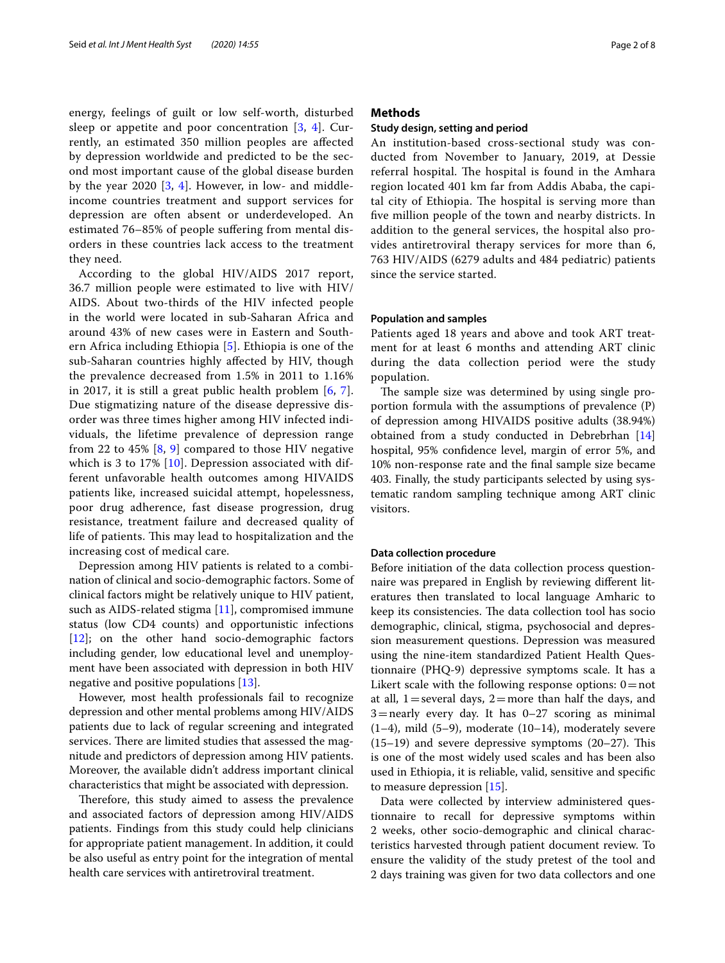energy, feelings of guilt or low self-worth, disturbed sleep or appetite and poor concentration [[3,](#page-6-2) [4](#page-6-3)]. Currently, an estimated 350 million peoples are afected by depression worldwide and predicted to be the second most important cause of the global disease burden by the year 2020  $[3, 4]$  $[3, 4]$  $[3, 4]$  $[3, 4]$ . However, in low- and middleincome countries treatment and support services for depression are often absent or underdeveloped. An estimated 76–85% of people sufering from mental disorders in these countries lack access to the treatment they need.

According to the global HIV/AIDS 2017 report, 36.7 million people were estimated to live with HIV/ AIDS. About two-thirds of the HIV infected people in the world were located in sub-Saharan Africa and around 43% of new cases were in Eastern and Southern Africa including Ethiopia [[5\]](#page-6-4). Ethiopia is one of the sub-Saharan countries highly afected by HIV, though the prevalence decreased from 1.5% in 2011 to 1.16% in 2017, it is still a great public health problem [[6,](#page-6-5) [7\]](#page-6-6). Due stigmatizing nature of the disease depressive disorder was three times higher among HIV infected individuals, the lifetime prevalence of depression range from 22 to 45% [[8](#page-6-7), [9\]](#page-6-8) compared to those HIV negative which is 3 to 17% [[10](#page-6-9)]. Depression associated with different unfavorable health outcomes among HIVAIDS patients like, increased suicidal attempt, hopelessness, poor drug adherence, fast disease progression, drug resistance, treatment failure and decreased quality of life of patients. This may lead to hospitalization and the increasing cost of medical care.

Depression among HIV patients is related to a combination of clinical and socio-demographic factors. Some of clinical factors might be relatively unique to HIV patient, such as AIDS-related stigma [\[11](#page-6-10)], compromised immune status (low CD4 counts) and opportunistic infections [[12\]](#page-6-11); on the other hand socio-demographic factors including gender, low educational level and unemployment have been associated with depression in both HIV negative and positive populations [[13](#page-6-12)].

However, most health professionals fail to recognize depression and other mental problems among HIV/AIDS patients due to lack of regular screening and integrated services. There are limited studies that assessed the magnitude and predictors of depression among HIV patients. Moreover, the available didn't address important clinical characteristics that might be associated with depression.

Therefore, this study aimed to assess the prevalence and associated factors of depression among HIV/AIDS patients. Findings from this study could help clinicians for appropriate patient management. In addition, it could be also useful as entry point for the integration of mental health care services with antiretroviral treatment.

## **Methods**

### **Study design, setting and period**

An institution-based cross-sectional study was conducted from November to January, 2019, at Dessie referral hospital. The hospital is found in the Amhara region located 401 km far from Addis Ababa, the capital city of Ethiopia. The hospital is serving more than fve million people of the town and nearby districts. In addition to the general services, the hospital also provides antiretroviral therapy services for more than 6, 763 HIV/AIDS (6279 adults and 484 pediatric) patients since the service started.

## **Population and samples**

Patients aged 18 years and above and took ART treatment for at least 6 months and attending ART clinic during the data collection period were the study population.

The sample size was determined by using single proportion formula with the assumptions of prevalence (P) of depression among HIVAIDS positive adults (38.94%) obtained from a study conducted in Debrebrhan [[14](#page-6-13)] hospital, 95% confdence level, margin of error 5%, and 10% non-response rate and the fnal sample size became 403. Finally, the study participants selected by using systematic random sampling technique among ART clinic visitors.

## **Data collection procedure**

Before initiation of the data collection process questionnaire was prepared in English by reviewing diferent literatures then translated to local language Amharic to keep its consistencies. The data collection tool has socio demographic, clinical, stigma, psychosocial and depression measurement questions. Depression was measured using the nine-item standardized Patient Health Questionnaire (PHQ-9) depressive symptoms scale. It has a Likert scale with the following response options:  $0 = not$ at all,  $1=$  several days,  $2=$  more than half the days, and  $3 =$ nearly every day. It has  $0-27$  scoring as minimal (1–4), mild (5–9), moderate (10–14), moderately severe  $(15–19)$  and severe depressive symptoms  $(20–27)$ . This is one of the most widely used scales and has been also used in Ethiopia, it is reliable, valid, sensitive and specifc to measure depression [[15\]](#page-6-14).

Data were collected by interview administered questionnaire to recall for depressive symptoms within 2 weeks, other socio-demographic and clinical characteristics harvested through patient document review. To ensure the validity of the study pretest of the tool and 2 days training was given for two data collectors and one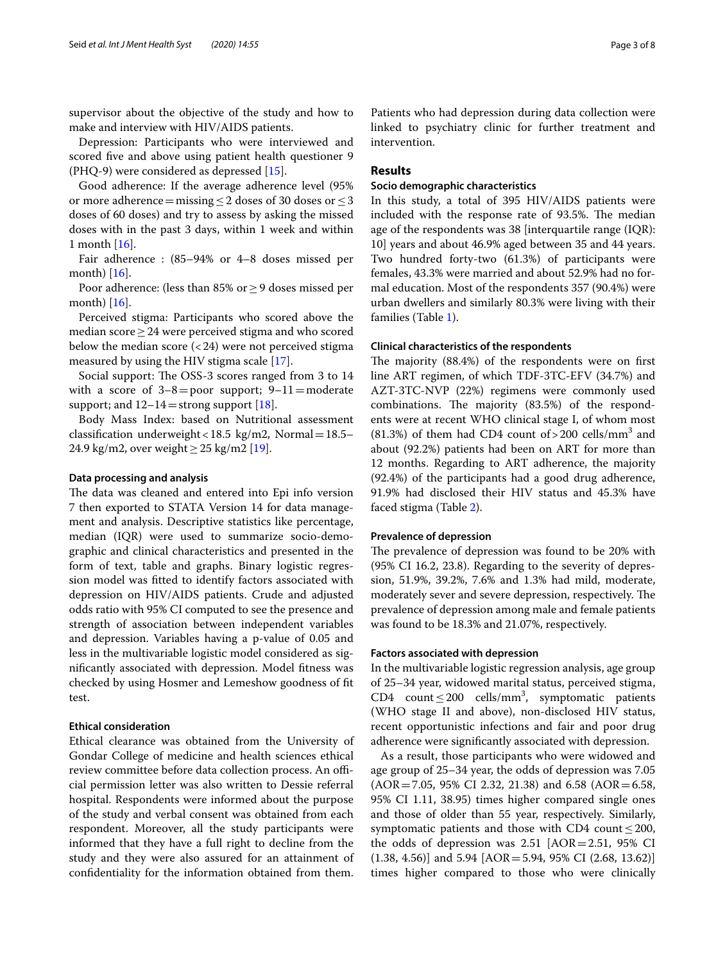supervisor about the objective of the study and how to make and interview with HIV/AIDS patients.

Depression: Participants who were interviewed and scored fve and above using patient health questioner 9 (PHQ-9) were considered as depressed [[15](#page-6-14)].

Good adherence: If the average adherence level (95% or more adherence = missing  $\leq$  2 doses of 30 doses or  $\leq$  3 doses of 60 doses) and try to assess by asking the missed doses with in the past 3 days, within 1 week and within 1 month [[16\]](#page-6-15).

Fair adherence : (85–94% or 4–8 doses missed per month) [[16\]](#page-6-15).

Poor adherence: (less than 85% or  $\geq$  9 doses missed per month) [[16\]](#page-6-15).

Perceived stigma: Participants who scored above the median score≥24 were perceived stigma and who scored below the median score  $\left( < 24 \right)$  were not perceived stigma measured by using the HIV stigma scale [[17](#page-6-16)].

Social support: The OSS-3 scores ranged from 3 to 14 with a score of  $3-8=$  poor support;  $9-11=$ moderate support; and  $12-14$  = strong support [[18\]](#page-6-17).

Body Mass Index: based on Nutritional assessment classification underweight < 18.5  $kg/m2$ , Normal = 18.5– 24.9 kg/m2, over weight  $\geq$  25 kg/m2 [\[19](#page-6-18)].

### **Data processing and analysis**

The data was cleaned and entered into Epi info version 7 then exported to STATA Version 14 for data management and analysis. Descriptive statistics like percentage, median (IQR) were used to summarize socio-demographic and clinical characteristics and presented in the form of text, table and graphs. Binary logistic regression model was ftted to identify factors associated with depression on HIV/AIDS patients. Crude and adjusted odds ratio with 95% CI computed to see the presence and strength of association between independent variables and depression. Variables having a p-value of 0.05 and less in the multivariable logistic model considered as signifcantly associated with depression. Model ftness was checked by using Hosmer and Lemeshow goodness of ft test.

## **Ethical consideration**

Ethical clearance was obtained from the University of Gondar College of medicine and health sciences ethical review committee before data collection process. An official permission letter was also written to Dessie referral hospital. Respondents were informed about the purpose of the study and verbal consent was obtained from each respondent. Moreover, all the study participants were informed that they have a full right to decline from the study and they were also assured for an attainment of confdentiality for the information obtained from them. Patients who had depression during data collection were linked to psychiatry clinic for further treatment and intervention.

## **Results**

#### **Socio demographic characteristics**

In this study, a total of 395 HIV/AIDS patients were included with the response rate of 93.5%. The median age of the respondents was 38 [interquartile range (IQR): 10] years and about 46.9% aged between 35 and 44 years. Two hundred forty-two (61.3%) of participants were females, 43.3% were married and about 52.9% had no formal education. Most of the respondents 357 (90.4%) were urban dwellers and similarly 80.3% were living with their families (Table [1\)](#page-3-0).

### **Clinical characteristics of the respondents**

The majority  $(88.4%)$  of the respondents were on first line ART regimen, of which TDF-3TC-EFV (34.7%) and AZT-3TC-NVP (22%) regimens were commonly used combinations. The majority (83.5%) of the respondents were at recent WHO clinical stage I, of whom most  $(81.3%)$  of them had CD4 count of > 200 cells/mm<sup>3</sup> and about (92.2%) patients had been on ART for more than 12 months. Regarding to ART adherence, the majority (92.4%) of the participants had a good drug adherence, 91.9% had disclosed their HIV status and 45.3% have faced stigma (Table [2](#page-4-0)).

### **Prevalence of depression**

The prevalence of depression was found to be 20% with (95% CI 16.2, 23.8). Regarding to the severity of depression, 51.9%, 39.2%, 7.6% and 1.3% had mild, moderate, moderately sever and severe depression, respectively. The prevalence of depression among male and female patients was found to be 18.3% and 21.07%, respectively.

## **Factors associated with depression**

In the multivariable logistic regression analysis, age group of 25–34 year, widowed marital status, perceived stigma, CD4 count  $\leq$  200 cells/mm<sup>3</sup>, symptomatic patients (WHO stage II and above), non-disclosed HIV status, recent opportunistic infections and fair and poor drug adherence were signifcantly associated with depression.

As a result, those participants who were widowed and age group of 25–34 year, the odds of depression was 7.05  $(AOR = 7.05, 95\% \text{ CI } 2.32, 21.38)$  and 6.58  $(AOR = 6.58, 1.35)$ 95% CI 1.11, 38.95) times higher compared single ones and those of older than 55 year, respectively. Similarly, symptomatic patients and those with CD4 count  $\leq$  200, the odds of depression was  $2.51$  [AOR =  $2.51$ , 95% CI  $(1.38, 4.56)$ ] and  $5.94$  [AOR = 5.94, 95% CI (2.68, 13.62)] times higher compared to those who were clinically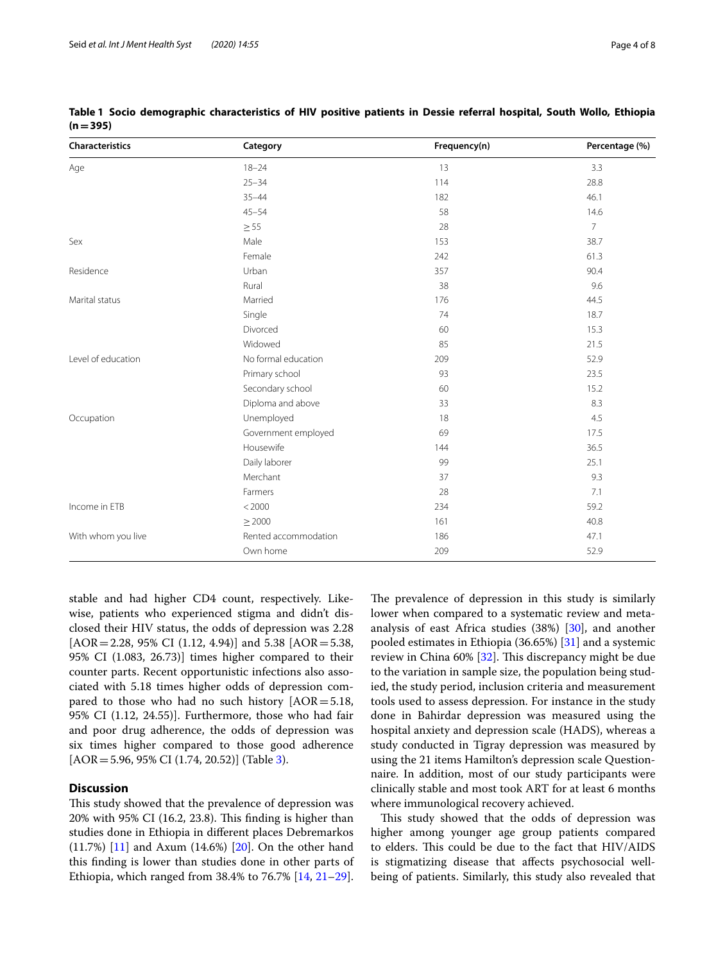| <b>Characteristics</b> | Category             | Frequency(n) | Percentage (%) |
|------------------------|----------------------|--------------|----------------|
| Age                    | $18 - 24$<br>13      |              | 3.3            |
|                        | $25 - 34$            | 114          | 28.8           |
|                        | $35 - 44$            | 182          | 46.1           |
|                        | $45 - 54$            | 58           | 14.6           |
|                        | $\geq$ 55            | 28           | $\overline{7}$ |
| Sex                    | Male                 | 153          | 38.7           |
|                        | Female               | 242          | 61.3           |
| Residence              | Urban                | 357          | 90.4           |
|                        | Rural                | 38           | 9.6            |
| Marital status         | Married              | 176          | 44.5           |
|                        | Single               | 74           | 18.7           |
|                        | Divorced             | 60           | 15.3           |
|                        | Widowed              | 85           | 21.5           |
| Level of education     | No formal education  | 209          | 52.9           |
|                        | Primary school       | 93           | 23.5           |
|                        | Secondary school     | 60           | 15.2           |
|                        | Diploma and above    | 33           | 8.3            |
| Occupation             | Unemployed           | 18           | 4.5            |
|                        | Government employed  | 69           | 17.5           |
|                        | Housewife            | 144          | 36.5           |
|                        | Daily laborer        | 99           | 25.1           |
|                        | Merchant             | 37           | 9.3            |
|                        | Farmers              | 28           | 7.1            |
| Income in ETB          | < 2000               | 234          | 59.2           |
|                        | $\geq$ 2000          | 161          | 40.8           |
| With whom you live     | Rented accommodation | 186          | 47.1           |
|                        | Own home             | 209          | 52.9           |

<span id="page-3-0"></span>**Table 1 Socio demographic characteristics of HIV positive patients in Dessie referral hospital, South Wollo, Ethiopia (n=395)**

stable and had higher CD4 count, respectively. Likewise, patients who experienced stigma and didn't disclosed their HIV status, the odds of depression was 2.28 [AOR=2.28, 95% CI (1.12, 4.94)] and 5.38 [AOR=5.38, 95% CI (1.083, 26.73)] times higher compared to their counter parts. Recent opportunistic infections also associated with 5.18 times higher odds of depression compared to those who had no such history  $[AOR = 5.18]$ , 95% CI (1.12, 24.55)]. Furthermore, those who had fair and poor drug adherence, the odds of depression was six times higher compared to those good adherence  $[AOR = 5.96, 95\% \text{ CI } (1.74, 20.52)]$  (Table [3\)](#page-5-0).

## **Discussion**

This study showed that the prevalence of depression was  $20\%$  with 95% CI (16.2, 23.8). This finding is higher than studies done in Ethiopia in diferent places Debremarkos (11.7%) [\[11](#page-6-10)] and Axum (14.6%) [\[20](#page-6-19)]. On the other hand this fnding is lower than studies done in other parts of Ethiopia, which ranged from 38.4% to 76.7% [[14,](#page-6-13) [21](#page-6-20)[–29](#page-6-21)]. The prevalence of depression in this study is similarly lower when compared to a systematic review and metaanalysis of east Africa studies (38%) [\[30](#page-6-22)], and another pooled estimates in Ethiopia (36.65%) [[31](#page-7-0)] and a systemic review in China  $60\%$  [[32\]](#page-7-1). This discrepancy might be due to the variation in sample size, the population being studied, the study period, inclusion criteria and measurement tools used to assess depression. For instance in the study done in Bahirdar depression was measured using the hospital anxiety and depression scale (HADS), whereas a study conducted in Tigray depression was measured by using the 21 items Hamilton's depression scale Questionnaire. In addition, most of our study participants were clinically stable and most took ART for at least 6 months where immunological recovery achieved.

This study showed that the odds of depression was higher among younger age group patients compared to elders. This could be due to the fact that HIV/AIDS is stigmatizing disease that afects psychosocial wellbeing of patients. Similarly, this study also revealed that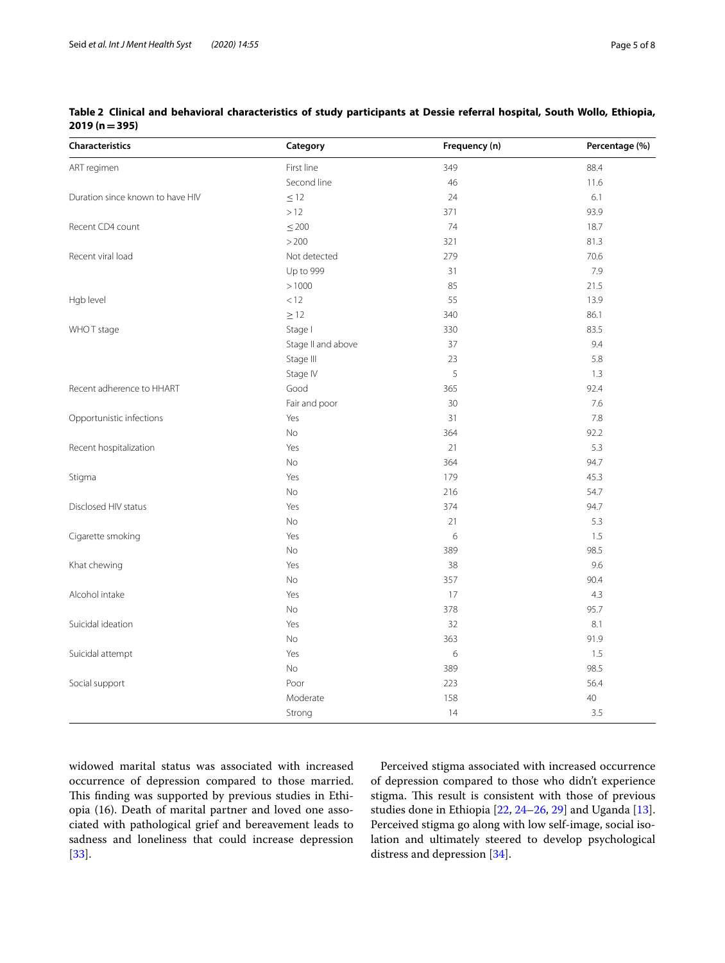| <b>Characteristics</b>           | Category           | Frequency (n) | Percentage (%) |
|----------------------------------|--------------------|---------------|----------------|
| ART regimen                      | First line         | 349           | 88.4           |
|                                  | Second line        | 46            | 11.6           |
| Duration since known to have HIV | $\leq$ 12          | 24            | 6.1            |
|                                  | $>12$              | 371           | 93.9           |
| Recent CD4 count                 | $\leq 200$         | 74            | 18.7           |
|                                  | >200               | 321           | 81.3           |
| Recent viral load                | Not detected       | 279           | 70.6           |
|                                  | Up to 999          | 31            | 7.9            |
|                                  | > 1000             | 85            | 21.5           |
| Hgb level                        | < 12               | 55            | 13.9           |
|                                  | $\geq$ 12          | 340           | 86.1           |
| WHOT stage                       | Stage I            | 330           | 83.5           |
|                                  | Stage II and above | 37            | 9.4            |
|                                  | Stage III          | 23            | 5.8            |
|                                  | Stage IV           | 5             | 1.3            |
| Recent adherence to HHART        | Good               | 365           | 92.4           |
|                                  | Fair and poor      | 30            | 7.6            |
| Opportunistic infections         | Yes                | 31            | 7.8            |
|                                  | <b>No</b>          | 364           | 92.2           |
| Recent hospitalization           | Yes                | 21            | 5.3            |
|                                  | No                 | 364           | 94.7           |
| Stigma                           | Yes                | 179           | 45.3           |
|                                  | No                 | 216           | 54.7           |
| Disclosed HIV status             | Yes                | 374           | 94.7           |
|                                  | No                 | 21            | 5.3            |
| Cigarette smoking                | Yes                | 6             | 1.5            |
|                                  | No                 | 389           | 98.5           |
| Khat chewing                     | Yes                | 38            | 9.6            |
|                                  | No                 | 357           | 90.4           |
| Alcohol intake                   | Yes                | 17            | 4.3            |
|                                  | No                 | 378           | 95.7           |
| Suicidal ideation                | Yes                | 32            | 8.1            |
|                                  | No                 | 363           | 91.9           |
| Suicidal attempt                 | Yes                | 6             | 1.5            |
|                                  | No                 | 389           | 98.5           |
| Social support                   | Poor               | 223           | 56.4           |
|                                  | Moderate           | 158           | 40             |
|                                  | Strong             | 14            | 3.5            |

<span id="page-4-0"></span>**Table 2 Clinical and behavioral characteristics of study participants at Dessie referral hospital, South Wollo, Ethiopia, 2019 (n=395)**

widowed marital status was associated with increased occurrence of depression compared to those married. This finding was supported by previous studies in Ethiopia (16). Death of marital partner and loved one associated with pathological grief and bereavement leads to sadness and loneliness that could increase depression [[33\]](#page-7-2).

Perceived stigma associated with increased occurrence of depression compared to those who didn't experience stigma. This result is consistent with those of previous studies done in Ethiopia [[22](#page-6-23), [24–](#page-6-24)[26,](#page-6-25) [29](#page-6-21)] and Uganda [\[13](#page-6-12)]. Perceived stigma go along with low self-image, social isolation and ultimately steered to develop psychological distress and depression [[34\]](#page-7-3).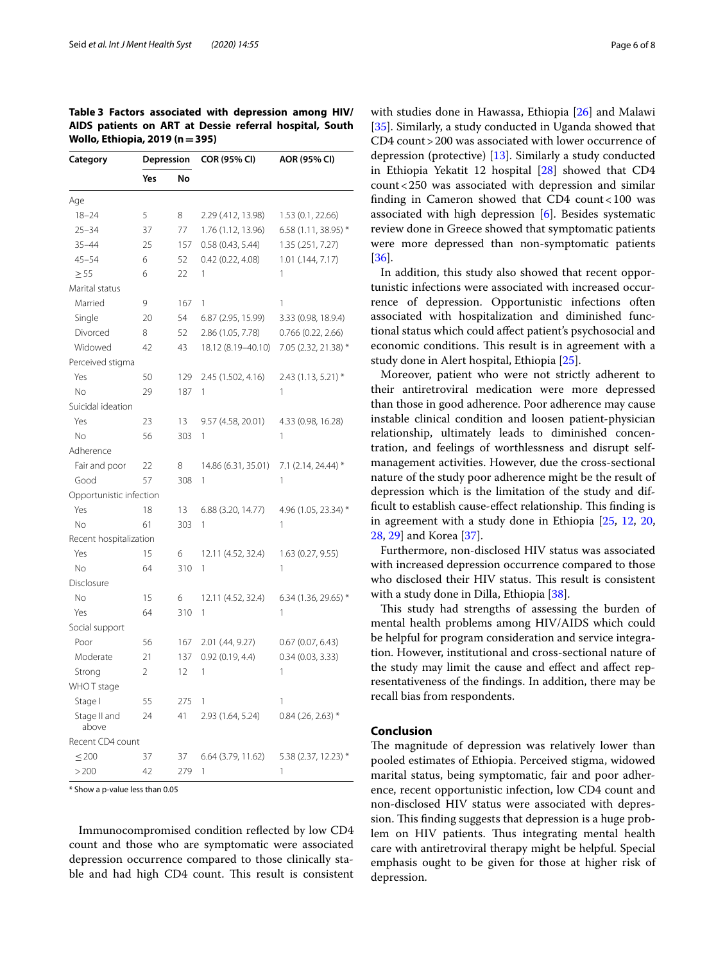<span id="page-5-0"></span>**Table 3 Factors associated with depression among HIV/ AIDS patients on ART at Dessie referral hospital, South Wollo, Ethiopia, 2019 (n=395)**

| Category                | Depression     |     | COR (95% CI)        | AOR (95% CI)         |
|-------------------------|----------------|-----|---------------------|----------------------|
|                         | Yes            | No  |                     |                      |
| Age                     |                |     |                     |                      |
| $18 - 24$               | 5              | 8   | 2.29 (.412, 13.98)  | 1.53 (0.1, 22.66)    |
| $25 - 34$               | 37             | 77  | 1.76 (1.12, 13.96)  | 6.58 (1.11, 38.95) * |
| $35 - 44$               | 25             | 157 | 0.58(0.43, 5.44)    | 1.35 (.251, 7.27)    |
| $45 - 54$               | 6              | 52  | 0.42(0.22, 4.08)    | 1.01 (.144, 7.17)    |
| $\geq 55$               | 6              | 22  | 1                   | 1                    |
| Marital status          |                |     |                     |                      |
| Married                 | 9              | 167 | 1                   | 1                    |
| Single                  | 20             | 54  | 6.87 (2.95, 15.99)  | 3.33 (0.98, 18.9.4)  |
| Divorced                | 8              | 52  | 2.86 (1.05, 7.78)   | 0.766(0.22, 2.66)    |
| Widowed                 | 42             | 43  | 18.12 (8.19-40.10)  | 7.05 (2.32, 21.38) * |
| Perceived stigma        |                |     |                     |                      |
| Yes                     | 50             | 129 | 2.45 (1.502, 4.16)  | $2.43(1.13, 5.21)$ * |
| No                      | 29             | 187 | 1                   | 1                    |
| Suicidal ideation       |                |     |                     |                      |
| Yes                     | 23             | 13  | 9.57 (4.58, 20.01)  | 4.33 (0.98, 16.28)   |
| <b>No</b>               | 56             | 303 | 1                   | 1                    |
| Adherence               |                |     |                     |                      |
| Fair and poor           | 22             | 8   | 14.86 (6.31, 35.01) | 7.1 (2.14, 24.44) *  |
| Good                    | 57             | 308 | 1                   | 1                    |
| Opportunistic infection |                |     |                     |                      |
| Yes                     | 18             | 13  | 6.88 (3.20, 14.77)  | 4.96 (1.05, 23.34) * |
| N <sub>o</sub>          | 61             | 303 | 1                   | 1                    |
| Recent hospitalization  |                |     |                     |                      |
| Yes                     | 15             | 6   | 12.11 (4.52, 32.4)  | 1.63 (0.27, 9.55)    |
| <b>No</b>               | 64             | 310 | 1                   | 1                    |
| Disclosure              |                |     |                     |                      |
| No                      | 15             | 6   | 12.11 (4.52, 32.4)  | 6.34 (1.36, 29.65) * |
| Yes                     | 64             | 310 | 1                   | 1                    |
| Social support          |                |     |                     |                      |
| Poor                    | 56             | 167 | 2.01 (.44, 9.27)    | 0.67(0.07, 6.43)     |
| Moderate                | 21             | 137 | 0.92(0.19, 4.4)     | 0.34(0.03, 3.33)     |
| Strong                  | $\overline{2}$ | 12  | 1                   | 1                    |
| WHOT stage              |                |     |                     |                      |
| Stage I                 | 55             | 275 | 1                   | 1                    |
| Stage II and<br>above   | 24             | 41  | 2.93 (1.64, 5.24)   | $0.84$ (.26, 2.63) * |
| Recent CD4 count        |                |     |                     |                      |
| $\leq 200$              | 37             | 37  | 6.64 (3.79, 11.62)  | 5.38 (2.37, 12.23) * |
| >200                    | 42             | 279 | 1                   | 1                    |

\* Show a p-value less than 0.05

Immunocompromised condition refected by low CD4 count and those who are symptomatic were associated depression occurrence compared to those clinically stable and had high CD4 count. This result is consistent with studies done in Hawassa, Ethiopia [[26\]](#page-6-25) and Malawi [[35\]](#page-7-4). Similarly, a study conducted in Uganda showed that CD4 count>200 was associated with lower occurrence of depression (protective) [[13](#page-6-12)]. Similarly a study conducted in Ethiopia Yekatit 12 hospital [[28\]](#page-6-26) showed that CD4 count<250 was associated with depression and similar fnding in Cameron showed that CD4 count<100 was associated with high depression  $[6]$  $[6]$ . Besides systematic review done in Greece showed that symptomatic patients were more depressed than non-symptomatic patients [[36\]](#page-7-5).

In addition, this study also showed that recent opportunistic infections were associated with increased occurrence of depression. Opportunistic infections often associated with hospitalization and diminished functional status which could afect patient's psychosocial and economic conditions. This result is in agreement with a study done in Alert hospital, Ethiopia [\[25](#page-6-27)].

Moreover, patient who were not strictly adherent to their antiretroviral medication were more depressed than those in good adherence. Poor adherence may cause instable clinical condition and loosen patient-physician relationship, ultimately leads to diminished concentration, and feelings of worthlessness and disrupt selfmanagement activities. However, due the cross-sectional nature of the study poor adherence might be the result of depression which is the limitation of the study and difficult to establish cause-effect relationship. This finding is in agreement with a study done in Ethiopia [\[25](#page-6-27), [12,](#page-6-11) [20](#page-6-19), [28,](#page-6-26) [29\]](#page-6-21) and Korea [[37\]](#page-7-6).

Furthermore, non-disclosed HIV status was associated with increased depression occurrence compared to those who disclosed their HIV status. This result is consistent with a study done in Dilla, Ethiopia [\[38](#page-7-7)].

This study had strengths of assessing the burden of mental health problems among HIV/AIDS which could be helpful for program consideration and service integration. However, institutional and cross-sectional nature of the study may limit the cause and efect and afect representativeness of the fndings. In addition, there may be recall bias from respondents.

## **Conclusion**

The magnitude of depression was relatively lower than pooled estimates of Ethiopia. Perceived stigma, widowed marital status, being symptomatic, fair and poor adherence, recent opportunistic infection, low CD4 count and non-disclosed HIV status were associated with depression. This finding suggests that depression is a huge problem on HIV patients. Thus integrating mental health care with antiretroviral therapy might be helpful. Special emphasis ought to be given for those at higher risk of depression.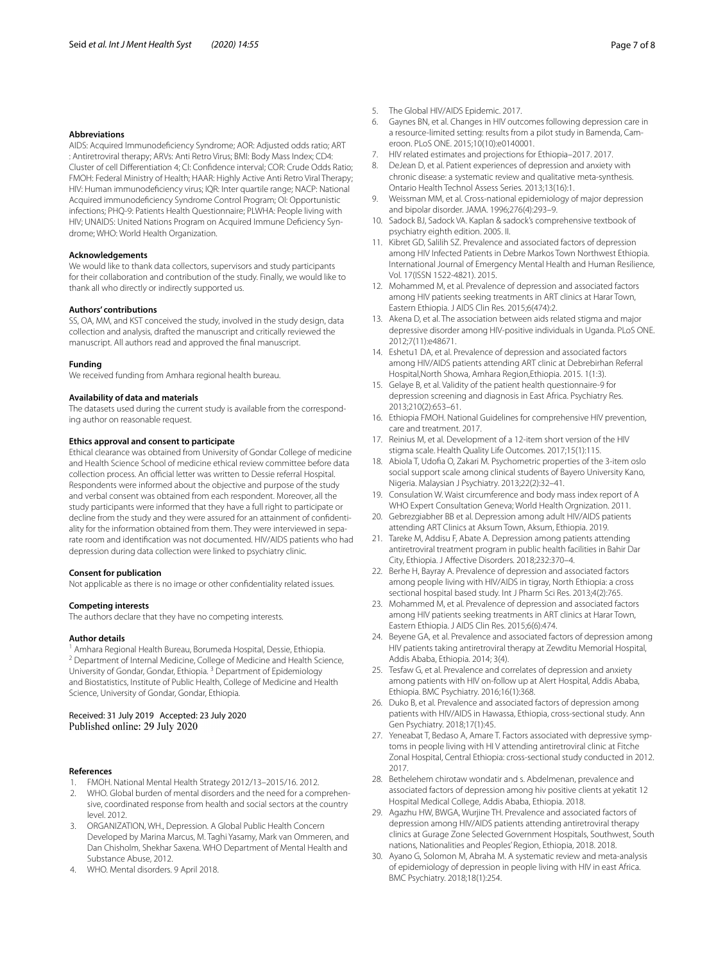#### **Abbreviations**

AIDS: Acquired Immunodefciency Syndrome; AOR: Adjusted odds ratio; ART : Antiretroviral therapy; ARVs: Anti Retro Virus; BMI: Body Mass Index; CD4: Cluster of cell Diferentiation 4; CI: Confdence interval; COR: Crude Odds Ratio; FMOH: Federal Ministry of Health; HAAR: Highly Active Anti Retro Viral Therapy; HIV: Human immunodefciency virus; IQR: Inter quartile range; NACP: National Acquired immunodefciency Syndrome Control Program; OI: Opportunistic infections; PHQ-9: Patients Health Questionnaire; PLWHA: People living with HIV; UNAIDS: United Nations Program on Acquired Immune Deficiency Syndrome; WHO: World Health Organization.

#### **Acknowledgements**

We would like to thank data collectors, supervisors and study participants for their collaboration and contribution of the study. Finally, we would like to thank all who directly or indirectly supported us.

#### **Authors' contributions**

SS, OA, MM, and KST conceived the study, involved in the study design, data collection and analysis, drafted the manuscript and critically reviewed the manuscript. All authors read and approved the fnal manuscript.

#### **Funding**

We received funding from Amhara regional health bureau.

### **Availability of data and materials**

The datasets used during the current study is available from the corresponding author on reasonable request.

#### **Ethics approval and consent to participate**

Ethical clearance was obtained from University of Gondar College of medicine and Health Science School of medicine ethical review committee before data collection process. An official letter was written to Dessie referral Hospital. Respondents were informed about the objective and purpose of the study and verbal consent was obtained from each respondent. Moreover, all the study participants were informed that they have a full right to participate or decline from the study and they were assured for an attainment of confdentiality for the information obtained from them. They were interviewed in separate room and identifcation was not documented. HIV/AIDS patients who had depression during data collection were linked to psychiatry clinic.

#### **Consent for publication**

Not applicable as there is no image or other confdentiality related issues.

#### **Competing interests**

The authors declare that they have no competing interests.

#### **Author details**

<sup>1</sup> Amhara Regional Health Bureau, Borumeda Hospital, Dessie, Ethiopia. <sup>2</sup> Department of Internal Medicine, College of Medicine and Health Science, University of Gondar, Gondar, Ethiopia. <sup>3</sup> Department of Epidemiology and Biostatistics, Institute of Public Health, College of Medicine and Health Science, University of Gondar, Gondar, Ethiopia.

#### Received: 31 July 2019 Accepted: 23 July 2020 Published online: 29 July 2020

#### **References**

- <span id="page-6-0"></span>1. FMOH. National Mental Health Strategy 2012/13–2015/16. 2012.
- <span id="page-6-1"></span>2. WHO. Global burden of mental disorders and the need for a comprehensive, coordinated response from health and social sectors at the country level. 2012.
- <span id="page-6-2"></span>3. ORGANIZATION, WH., Depression. A Global Public Health Concern Developed by Marina Marcus, M. Taghi Yasamy, Mark van Ommeren, and Dan Chisholm, Shekhar Saxena. WHO Department of Mental Health and Substance Abuse, 2012.
- <span id="page-6-3"></span>4. WHO. Mental disorders. 9 April 2018.
- <span id="page-6-4"></span>5. The Global HIV/AIDS Epidemic. 2017.
- <span id="page-6-5"></span>6. Gaynes BN, et al. Changes in HIV outcomes following depression care in a resource-limited setting: results from a pilot study in Bamenda, Cameroon. PLoS ONE. 2015;10(10):e0140001.
- <span id="page-6-6"></span>7. HIV related estimates and projections for Ethiopia–2017. 2017.
- <span id="page-6-7"></span>8. DeJean D, et al. Patient experiences of depression and anxiety with chronic disease: a systematic review and qualitative meta-synthesis. Ontario Health Technol Assess Series. 2013;13(16):1.
- <span id="page-6-8"></span>9. Weissman MM, et al. Cross-national epidemiology of major depression and bipolar disorder. JAMA. 1996;276(4):293–9.
- <span id="page-6-9"></span>10. Sadock BJ, Sadock VA. Kaplan & sadock's comprehensive textbook of psychiatry eighth edition. 2005. II.
- <span id="page-6-10"></span>11. Kibret GD, Salilih SZ. Prevalence and associated factors of depression among HIV Infected Patients in Debre Markos Town Northwest Ethiopia. International Journal of Emergency Mental Health and Human Resilience, Vol. 17(ISSN 1522-4821). 2015.
- <span id="page-6-11"></span>12. Mohammed M, et al. Prevalence of depression and associated factors among HIV patients seeking treatments in ART clinics at Harar Town, Eastern Ethiopia. J AIDS Clin Res. 2015;6(474):2.
- <span id="page-6-12"></span>13. Akena D, et al. The association between aids related stigma and major depressive disorder among HIV-positive individuals in Uganda. PLoS ONE. 2012;7(11):e48671.
- <span id="page-6-13"></span>14. Eshetu1 DA, et al. Prevalence of depression and associated factors among HIV/AIDS patients attending ART clinic at Debrebirhan Referral Hospital,North Showa, Amhara Region,Ethiopia. 2015. 1(1:3).
- <span id="page-6-14"></span>15. Gelaye B, et al. Validity of the patient health questionnaire-9 for depression screening and diagnosis in East Africa. Psychiatry Res. 2013;210(2):653–61.
- <span id="page-6-15"></span>16. Ethiopia FMOH. National Guidelines for comprehensive HIV prevention, care and treatment. 2017.
- <span id="page-6-16"></span>17. Reinius M, et al. Development of a 12-item short version of the HIV stigma scale. Health Quality Life Outcomes. 2017;15(1):115.
- <span id="page-6-17"></span>18. Abiola T, Udofa O, Zakari M. Psychometric properties of the 3-item oslo social support scale among clinical students of Bayero University Kano, Nigeria. Malaysian J Psychiatry. 2013;22(2):32–41.
- <span id="page-6-18"></span>19. Consulation W. Waist circumference and body mass index report of A WHO Expert Consultation Geneva; World Health Orgnization. 2011.
- <span id="page-6-19"></span>20. Gebrezgiabher BB et al. Depression among adult HIV/AIDS patients attending ART Clinics at Aksum Town, Aksum, Ethiopia. 2019.
- <span id="page-6-20"></span>21. Tareke M, Addisu F, Abate A. Depression among patients attending antiretroviral treatment program in public health facilities in Bahir Dar City, Ethiopia. J Afective Disorders. 2018;232:370–4.
- <span id="page-6-23"></span>22. Berhe H, Bayray A. Prevalence of depression and associated factors among people living with HIV/AIDS in tigray, North Ethiopia: a cross sectional hospital based study. Int J Pharm Sci Res. 2013;4(2):765.
- 23. Mohammed M, et al. Prevalence of depression and associated factors among HIV patients seeking treatments in ART clinics at Harar Town, Eastern Ethiopia. J AIDS Clin Res. 2015;6(6):474.
- <span id="page-6-24"></span>24. Beyene GA, et al. Prevalence and associated factors of depression among HIV patients taking antiretroviral therapy at Zewditu Memorial Hospital, Addis Ababa, Ethiopia. 2014; 3(4).
- <span id="page-6-27"></span>25. Tesfaw G, et al. Prevalence and correlates of depression and anxiety among patients with HIV on-follow up at Alert Hospital, Addis Ababa, Ethiopia. BMC Psychiatry. 2016;16(1):368.
- <span id="page-6-25"></span>26. Duko B, et al. Prevalence and associated factors of depression among patients with HIV/AIDS in Hawassa, Ethiopia, cross-sectional study. Ann Gen Psychiatry. 2018;17(1):45.
- 27. Yeneabat T, Bedaso A, Amare T. Factors associated with depressive symptoms in people living with HI V attending antiretroviral clinic at Fitche Zonal Hospital, Central Ethiopia: cross-sectional study conducted in 2012. 2017.
- <span id="page-6-26"></span>28. Bethelehem chirotaw wondatir and s. Abdelmenan, prevalence and associated factors of depression among hiv positive clients at yekatit 12 Hospital Medical College, Addis Ababa, Ethiopia. 2018.
- <span id="page-6-21"></span>29. Agazhu HW, BWGA, Wurjine TH. Prevalence and associated factors of depression among HIV/AIDS patients attending antiretroviral therapy clinics at Gurage Zone Selected Government Hospitals, Southwest, South nations, Nationalities and Peoples' Region, Ethiopia, 2018. 2018.
- <span id="page-6-22"></span>30. Ayano G, Solomon M, Abraha M. A systematic review and meta-analysis of epidemiology of depression in people living with HIV in east Africa. BMC Psychiatry. 2018;18(1):254.